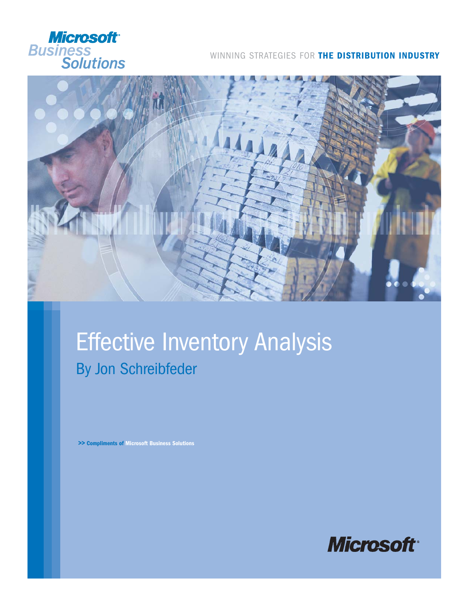

### WINNING STRATEGIES FOR **THE DISTRIBUTION INDUSTRY**



## **Effective Inventory Analysis** By Jon Schreibfeder

**>> Compliments of Microsoft Business Solutions**

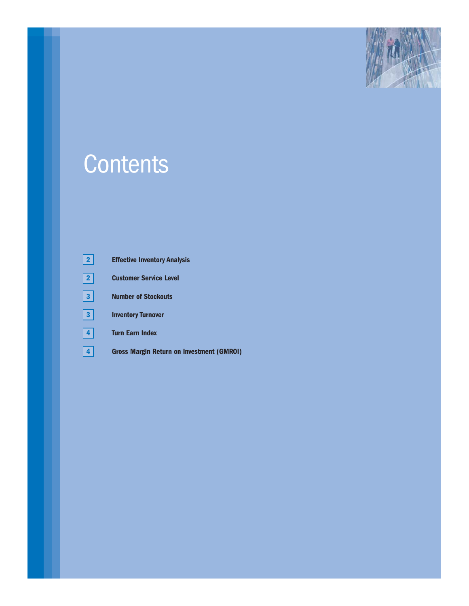

# **Contents**

| $\mathbf{2}$         | <b>Effective Inventory Analysis</b>       |
|----------------------|-------------------------------------------|
| $\overline{2}$       | <b>Customer Service Level</b>             |
| 3                    | <b>Number of Stockouts</b>                |
| 3 <sup>1</sup>       | <b>Inventory Turnover</b>                 |
| $\blacktriangleleft$ | <b>Turn Earn Index</b>                    |
| 4                    | Gross Margin Return on Investment (GMROI) |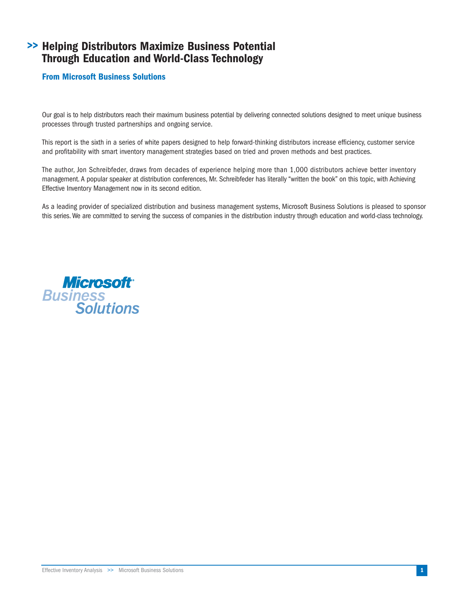### **Helping Distributors Maximize Business Potential >> Through Education and World-Class Technology**

#### **From Microsoft Business Solutions**

Our goal is to help distributors reach their maximum business potential by delivering connected solutions designed to meet unique business processes through trusted partnerships and ongoing service.

This report is the sixth in a series of white papers designed to help forward-thinking distributors increase efficiency, customer service and profitability with smart inventory management strategies based on tried and proven methods and best practices.

The author, Jon Schreibfeder, draws from decades of experience helping more than 1,000 distributors achieve better inventory management. A popular speaker at distribution conferences, Mr. Schreibfeder has literally "written the book" on this topic, with Achieving Effective Inventory Management now in its second edition.

As a leading provider of specialized distribution and business management systems, Microsoft Business Solutions is pleased to sponsor this series. We are committed to serving the success of companies in the distribution industry through education and world-class technology.

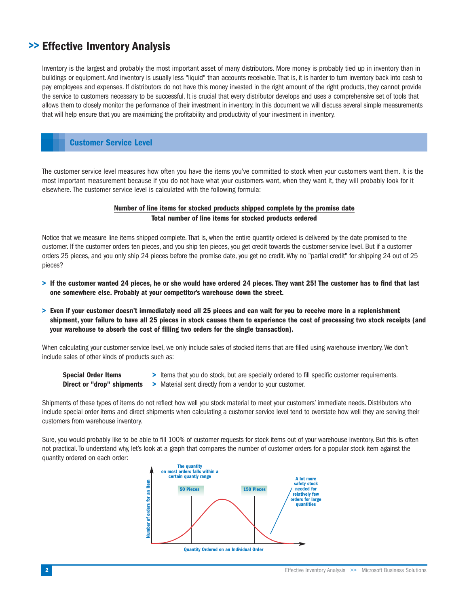## **Effective Inventory Analysis >>**

Inventory is the largest and probably the most important asset of many distributors. More money is probably tied up in inventory than in buildings or equipment. And inventory is usually less "liquid" than accounts receivable. That is, it is harder to turn inventory back into cash to pay employees and expenses. If distributors do not have this money invested in the right amount of the right products, they cannot provide the service to customers necessary to be successful. It is crucial that every distributor develops and uses a comprehensive set of tools that allows them to closely monitor the performance of their investment in inventory. In this document we will discuss several simple measurements that will help ensure that you are maximizing the profitability and productivity of your investment in inventory.

#### **Customer Service Level**

The customer service level measures how often you have the items you've committed to stock when your customers want them. It is the most important measurement because if you do not have what your customers want, when they want it, they will probably look for it elsewhere. The customer service level is calculated with the following formula:

#### **Number of line items for stocked products shipped complete by the promise date Total number of line items for stocked products ordered**

Notice that we measure line items shipped complete. That is, when the entire quantity ordered is delivered by the date promised to the customer. If the customer orders ten pieces, and you ship ten pieces, you get credit towards the customer service level. But if a customer orders 25 pieces, and you only ship 24 pieces before the promise date, you get no credit. Why no "partial credit" for shipping 24 out of 25 pieces?

- **> If the customer wanted 24 pieces, he or she would have ordered 24 pieces. They want 25! The customer has to find that last one somewhere else. Probably at your competitor's warehouse down the street.**
- **> Even if your customer doesn't immediately need all 25 pieces and can wait for you to receive more in a replenishment shipment, your failure to have all 25 pieces in stock causes them to experience the cost of processing two stock receipts (and your warehouse to absorb the cost of filling two orders for the single transaction).**

When calculating your customer service level, we only include sales of stocked items that are filled using warehouse inventory. We don't include sales of other kinds of products such as:

- **Special Order Items > Items that you do stock, but are specially ordered to fill specific customer requirements.**
- **Direct or "drop" shipments >** Material sent directly from a vendor to your customer.

Shipments of these types of items do not reflect how well you stock material to meet your customers' immediate needs. Distributors who include special order items and direct shipments when calculating a customer service level tend to overstate how well they are serving their customers from warehouse inventory.

Sure, you would probably like to be able to fill 100% of customer requests for stock items out of your warehouse inventory. But this is often not practical. To understand why, let's look at a graph that compares the number of customer orders for a popular stock item against the quantity ordered on each order:

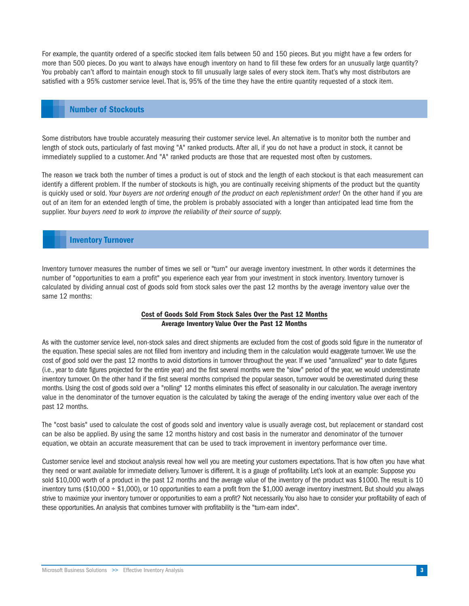For example, the quantity ordered of a specific stocked item falls between 50 and 150 pieces. But you might have a few orders for more than 500 pieces. Do you want to always have enough inventory on hand to fill these few orders for an unusually large quantity? You probably can't afford to maintain enough stock to fill unusually large sales of every stock item. That's why most distributors are satisfied with a 95% customer service level. That is, 95% of the time they have the entire quantity requested of a stock item.

#### **Number of Stockouts**

Some distributors have trouble accurately measuring their customer service level. An alternative is to monitor both the number and length of stock outs, particularly of fast moving "A" ranked products. After all, if you do not have a product in stock, it cannot be immediately supplied to a customer. And "A" ranked products are those that are requested most often by customers.

The reason we track both the number of times a product is out of stock and the length of each stockout is that each measurement can identify a different problem. If the number of stockouts is high, you are continually receiving shipments of the product but the quantity is quickly used or sold. *Your buyers are not ordering enough of the product on each replenishment order!* On the other hand if you are out of an item for an extended length of time, the problem is probably associated with a longer than anticipated lead time from the supplier. *Your buyers need to work to improve the reliability of their source of supply.*

#### **Inventory Turnover**

Inventory turnover measures the number of times we sell or "turn" our average inventory investment. In other words it determines the number of "opportunities to earn a profit" you experience each year from your investment in stock inventory. Inventory turnover is calculated by dividing annual cost of goods sold from stock sales over the past 12 months by the average inventory value over the same 12 months:

#### **Cost of Goods Sold From Stock Sales Over the Past 12 Months Average Inventory Value Over the Past 12 Months**

As with the customer service level, non-stock sales and direct shipments are excluded from the cost of goods sold figure in the numerator of the equation. These special sales are not filled from inventory and including them in the calculation would exaggerate turnover.We use the cost of good sold over the past 12 months to avoid distortions in turnover throughout the year. If we used "annualized" year to date figures (i.e., year to date figures projected for the entire year) and the first several months were the "slow" period of the year, we would underestimate inventory turnover. On the other hand if the first several months comprised the popular season, turnover would be overestimated during these months. Using the cost of goods sold over a "rolling" 12 months eliminates this effect of seasonality in our calculation. The average inventory value in the denominator of the turnover equation is the calculated by taking the average of the ending inventory value over each of the past 12 months.

The "cost basis" used to calculate the cost of goods sold and inventory value is usually average cost, but replacement or standard cost can be also be applied. By using the same 12 months history and cost basis in the numerator and denominator of the turnover equation, we obtain an accurate measurement that can be used to track improvement in inventory performance over time.

Customer service level and stockout analysis reveal how well you are meeting your customers expectations. That is how often you have what they need or want available for immediate delivery. Turnover is different. It is a gauge of profitability. Let's look at an example: Suppose you sold \$10,000 worth of a product in the past 12 months and the average value of the inventory of the product was \$1000. The result is 10 inventory turns (\$10,000 ÷ \$1,000), or 10 opportunities to earn a profit from the \$1,000 average inventory investment. But should you always strive to maximize your inventory turnover or opportunities to earn a profit? Not necessarily. You also have to consider your profitability of each of these opportunities. An analysis that combines turnover with profitability is the "turn-earn index".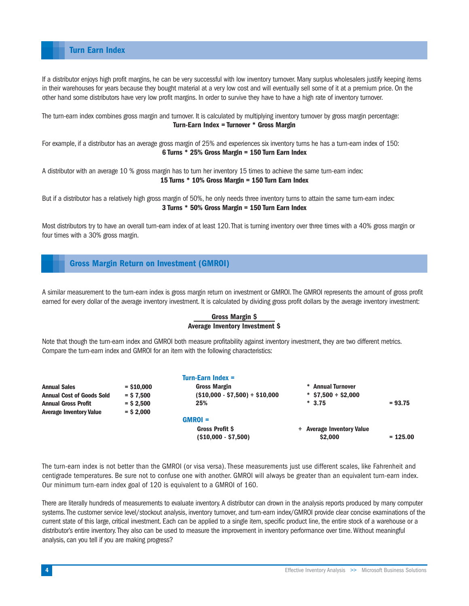**Turn Earn Index**

If a distributor enjoys high profit margins, he can be very successful with low inventory turnover. Many surplus wholesalers justify keeping items in their warehouses for years because they bought material at a very low cost and will eventually sell some of it at a premium price. On the other hand some distributors have very low profit margins. In order to survive they have to have a high rate of inventory turnover.

The turn-earn index combines gross margin and turnover. It is calculated by multiplying inventory turnover by gross margin percentage: **Turn-Earn Index = Turnover \* Gross Margin**

For example, if a distributor has an average gross margin of 25% and experiences six inventory turns he has a turn-earn index of 150: **6 Turns \* 25% Gross Margin = 150 Turn Earn Index**

A distributor with an average 10 % gross margin has to turn her inventory 15 times to achieve the same turn-earn index: **15 Turns \* 10% Gross Margin = 150 Turn Earn Index**

But if a distributor has a relatively high gross margin of 50%, he only needs three inventory turns to attain the same turn-earn index: **3 Turns \* 50% Gross Margin = 150 Turn Earn Index**

Most distributors try to have an overall turn-earn index of at least 120. That is turning inventory over three times with a 40% gross margin or four times with a 30% gross margin.

#### **Gross Margin Return on Investment (GMROI)**

A similar measurement to the turn-earn index is gross margin return on investment or GMROI. The GMROI represents the amount of gross profit earned for every dollar of the average inventory investment. It is calculated by dividing gross profit dollars by the average inventory investment:

#### **Gross Margin \$ Average Inventory Investment \$**

Note that though the turn-earn index and GMROI both measure profitability against inventory investment, they are two different metrics. Compare the turn-earn index and GMROI for an item with the following characteristics:

|              | <b>Turn-Earn Index =</b>                        |                                      |            |
|--------------|-------------------------------------------------|--------------------------------------|------------|
| $=$ \$10,000 | <b>Gross Margin</b>                             | * Annual Turnover                    |            |
| $=$ \$ 7.500 | $( $10,000 - $7,500 ) \div $10,000$             | $*$ \$7,500 ÷ \$2,000                |            |
| $=$ \$ 2.500 | 25%                                             | $*3.75$                              | $= 93.75$  |
| $=$ \$ 2,000 |                                                 |                                      |            |
|              | $GMROI =$                                       |                                      |            |
|              | <b>Gross Profit S</b><br>$( $10,000 - $7,500 )$ | + Average Inventory Value<br>\$2,000 | $= 125.00$ |
|              |                                                 |                                      |            |

The turn-earn index is not better than the GMROI (or visa versa). These measurements just use different scales, like Fahrenheit and centigrade temperatures. Be sure not to confuse one with another. GMROI will always be greater than an equivalent turn-earn index. Our minimum turn-earn index goal of 120 is equivalent to a GMROI of 160.

There are literally hundreds of measurements to evaluate inventory. A distributor can drown in the analysis reports produced by many computer systems. The customer service level/stockout analysis, inventory turnover, and turn-earn index/GMROI provide clear concise examinations of the current state of this large, critical investment. Each can be applied to a single item, specific product line, the entire stock of a warehouse or a distributor's entire inventory. They also can be used to measure the improvement in inventory performance over time. Without meaningful analysis, can you tell if you are making progress?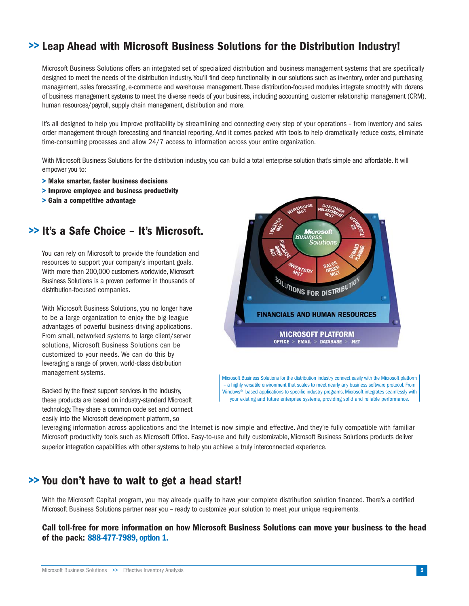## **>> Leap Ahead with Microsoft Business Solutions for the Distribution Industry!**

Microsoft Business Solutions offers an integrated set of specialized distribution and business management systems that are specifically designed to meet the needs of the distribution industry. You'll find deep functionality in our solutions such as inventory, order and purchasing management, sales forecasting, e-commerce and warehouse management. These distribution-focused modules integrate smoothly with dozens of business management systems to meet the diverse needs of your business, including accounting, customer relationship management (CRM), human resources/payroll, supply chain management, distribution and more.

It's all designed to help you improve profitability by streamlining and connecting every step of your operations – from inventory and sales order management through forecasting and financial reporting. And it comes packed with tools to help dramatically reduce costs, eliminate time-consuming processes and allow 24/7 access to information across your entire organization.

With Microsoft Business Solutions for the distribution industry, you can build a total enterprise solution that's simple and affordable. It will empower you to:

- **> Make smarter, faster business decisions**
- **> Improve employee and business productivity**
- **> Gain a competitive advantage**

## **>> It's a Safe Choice – It's Microsoft.**

You can rely on Microsoft to provide the foundation and resources to support your company's important goals. With more than 200,000 customers worldwide, Microsoft Business Solutions is a proven performer in thousands of distribution-focused companies.

With Microsoft Business Solutions, you no longer have to be a large organization to enjoy the big-league advantages of powerful business-driving applications. From small, networked systems to large client/server solutions, Microsoft Business Solutions can be customized to your needs. We can do this by leveraging a range of proven, world-class distribution management systems.





Microsoft Business Solutions for the distribution industry connect easily with the Microsoft platform – a highly versatile environment that scales to meet nearly any business software protocol. From Windows®–based applications to specific industry programs, Microsoft integrates seamlessly with your existing and future enterprise systems, providing solid and reliable performance.

leveraging information across applications and the Internet is now simple and effective. And they're fully compatible with familiar Microsoft productivity tools such as Microsoft Office. Easy-to-use and fully customizable, Microsoft Business Solutions products deliver superior integration capabilities with other systems to help you achieve a truly interconnected experience.

## **You don't have to wait to get a head start! >>**

With the Microsoft Capital program, you may already qualify to have your complete distribution solution financed. There's a certified Microsoft Business Solutions partner near you – ready to customize your solution to meet your unique requirements.

**Call toll-free for more information on how Microsoft Business Solutions can move your business to the head of the pack: 888-477-7989, option 1.**